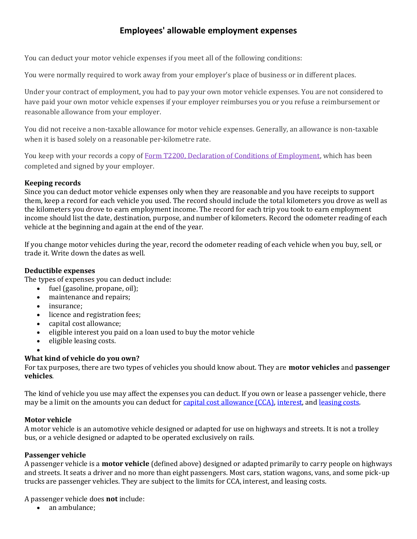# **Employees' allowable employment expenses**

You can deduct your motor vehicle expenses if you meet all of the following conditions:

You were normally required to work away from your employer's place of business or in different places.

Under your contract of employment, you had to pay your own motor vehicle expenses. You are not considered to have paid your own motor vehicle expenses if your employer reimburses you or you refuse a reimbursement or reasonable allowance from your employer.

You did not receive a non-taxable allowance for motor vehicle expenses. Generally, an allowance is non-taxable when it is based solely on a reasonable per-kilometre rate.

You keep with your records a copy of [Form T2200, Declaration of Conditions of Employment,](https://www.canada.ca/en/revenue-agency/services/forms-publications/forms/t2200.html) which has been completed and signed by your employer.

# **Keeping records**

Since you can deduct motor vehicle expenses only when they are reasonable and you have receipts to support them, keep a record for each vehicle you used. The record should include the total kilometers you drove as well as the kilometers you drove to earn employment income. The record for each trip you took to earn employment income should list the date, destination, purpose, and number of kilometers. Record the odometer reading of each vehicle at the beginning and again at the end of the year.

If you change motor vehicles during the year, record the odometer reading of each vehicle when you buy, sell, or trade it. Write down the dates as well.

# **Deductible expenses**

The types of expenses you can deduct include:

- fuel (gasoline, propane, oil);
- maintenance and repairs;
- insurance:
- licence and registration fees;
- capital cost allowance;
- eligible interest you paid on a loan used to buy the motor vehicle
- eligible leasing costs.
- •

# **What kind of vehicle do you own?**

For tax purposes, there are two types of vehicles you should know about. They are **motor vehicles** and **passenger vehicles**.

The kind of vehicle you use may affect the expenses you can deduct. If you own or lease a passenger vehicle, there may be a limit on the amounts you can deduct for [capital cost allowance \(CCA\),](http://www.cra-arc.gc.ca/E/pub/tg/t4044/t4044-e.html#chapter9) [interest,](http://www.cra-arc.gc.ca/E/pub/tg/t4044/t4044-e.html#P643_48005) an[d leasing costs.](http://www.cra-arc.gc.ca/E/pub/tg/t4044/t4044-e.html#leasingcost)

### **Motor vehicle**

A motor vehicle is an automotive vehicle designed or adapted for use on highways and streets. It is not a trolley bus, or a vehicle designed or adapted to be operated exclusively on rails.

### **Passenger vehicle**

A passenger vehicle is a **motor vehicle** (defined above) designed or adapted primarily to carry people on highways and streets. It seats a driver and no more than eight passengers. Most cars, station wagons, vans, and some pick-up trucks are passenger vehicles. They are subject to the limits for CCA, interest, and leasing costs.

A passenger vehicle does **not** include:

• an ambulance;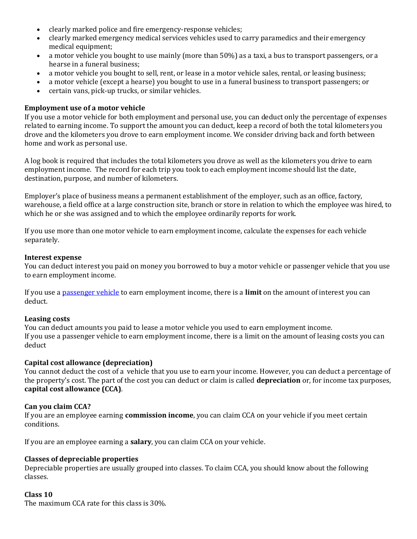- clearly marked police and fire emergency-response vehicles;
- clearly marked emergency medical services vehicles used to carry paramedics and their emergency medical equipment;
- a motor vehicle you bought to use mainly (more than 50%) as a taxi, a bus to transport passengers, or a hearse in a funeral business;
- a motor vehicle you bought to sell, rent, or lease in a motor vehicle sales, rental, or leasing business;
- a motor vehicle (except a hearse) you bought to use in a funeral business to transport passengers; or
- certain vans, pick-up trucks, or similar vehicles.

#### **Employment use of a motor vehicle**

If you use a motor vehicle for both employment and personal use, you can deduct only the percentage of expenses related to earning income. To support the amount you can deduct, keep a record of both the total kilometers you drove and the kilometers you drove to earn employment income. We consider driving back and forth between home and work as personal use.

A log book is required that includes the total kilometers you drove as well as the kilometers you drive to earn employment income. The record for each trip you took to each employment income should list the date, destination, purpose, and number of kilometers.

Employer's place of business means a permanent establishment of the employer, such as an office, factory, warehouse, a field office at a large construction site, branch or store in relation to which the employee was hired, to which he or she was assigned and to which the employee ordinarily reports for work.

If you use more than one motor vehicle to earn employment income, calculate the expenses for each vehicle separately.

#### **Interest expense**

You can deduct interest you paid on money you borrowed to buy a motor vehicle or passenger vehicle that you use to earn employment income.

If you use [a passenger vehicle](http://www.cra-arc.gc.ca/E/pub/tg/t4044/t4044-e.html#P624_45827) to earn employment income, there is a **limit** on the amount of interest you can deduct.

#### **Leasing costs**

You can deduct amounts you paid to lease a motor vehicle you used to earn employment income. If you use a passenger vehicle to earn employment income, there is a limit on the amount of leasing costs you can deduct

#### **Capital cost allowance (depreciation)**

You cannot deduct the cost of a vehicle that you use to earn your income. However, you can deduct a percentage of the property's cost. The part of the cost you can deduct or claim is called **depreciation** or, for income tax purposes, **capital cost allowance (CCA)**.

#### **Can you claim CCA?**

If you are an employee earning **commission income**, you can claim CCA on your vehicle if you meet certain conditions.

If you are an employee earning a **salary**, you can claim CCA on your vehicle.

#### **Classes of depreciable properties**

Depreciable properties are usually grouped into classes. To claim CCA, you should know about the following classes.

#### **Class 10**

The maximum CCA rate for this class is 30%.